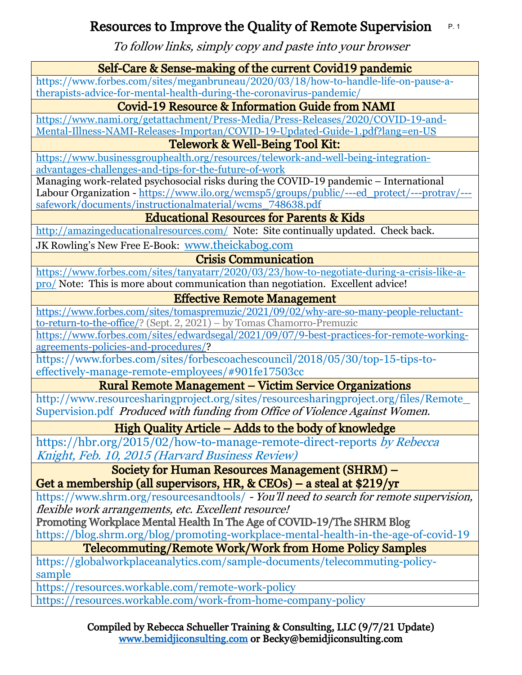#### Resources to Improve the Quality of Remote Supervision P. 1

To follow links, simply copy and paste into your browser

| 10 IOIIOW IIIINS, SIMPHY COPY and pasic into your browscr                                   |  |  |
|---------------------------------------------------------------------------------------------|--|--|
| Self-Care & Sense-making of the current Covid19 pandemic                                    |  |  |
| https://www.forbes.com/sites/meganbruneau/2020/03/18/how-to-handle-life-on-pause-a-         |  |  |
| therapists-advice-for-mental-health-during-the-coronavirus-pandemic/                        |  |  |
| Covid-19 Resource & Information Guide from NAMI                                             |  |  |
| https://www.nami.org/getattachment/Press-Media/Press-Releases/2020/COVID-19-and-            |  |  |
| Mental-Illness-NAMI-Releases-Importan/COVID-19-Updated-Guide-1.pdf?lang=en-US               |  |  |
| Telework & Well-Being Tool Kit:                                                             |  |  |
| https://www.businessgrouphealth.org/resources/telework-and-well-being-integration-          |  |  |
| advantages-challenges-and-tips-for-the-future-of-work                                       |  |  |
| Managing work-related psychosocial risks during the COVID-19 pandemic - International       |  |  |
| Labour Organization - https://www.ilo.org/wcmsp5/groups/public/---ed_protect/---protrav/--- |  |  |
| safework/documents/instructionalmaterial/wcms 748638.pdf                                    |  |  |
| <b>Educational Resources for Parents &amp; Kids</b>                                         |  |  |
| http://amazingeducationalresources.com/ Note: Site continually updated. Check back.         |  |  |
| JK Rowling's New Free E-Book: www.theickabog.com                                            |  |  |
| <b>Crisis Communication</b>                                                                 |  |  |
| https://www.forbes.com/sites/tanyatarr/2020/03/23/how-to-negotiate-during-a-crisis-like-a-  |  |  |
| pro/ Note: This is more about communication than negotiation. Excellent advice!             |  |  |
| <b>Effective Remote Management</b>                                                          |  |  |
| https://www.forbes.com/sites/tomaspremuzic/2021/09/02/why-are-so-many-people-reluctant-     |  |  |
| to-return-to-the-office/? (Sept. 2, 2021) - by Tomas Chamorro-Premuzic                      |  |  |
| https://www.forbes.com/sites/edwardsegal/2021/09/07/9-best-practices-for-remote-working-    |  |  |
| agreements-policies-and-procedures/?                                                        |  |  |
| https://www.forbes.com/sites/forbescoachescouncil/2018/05/30/top-15-tips-to-                |  |  |
| effectively-manage-remote-employees/#901fe17503cc                                           |  |  |
| <b>Rural Remote Management – Victim Service Organizations</b>                               |  |  |
| http://www.resourcesharingproject.org/sites/resourcesharingproject.org/files/Remote         |  |  |
| Supervision.pdf Produced with funding from Office of Violence Against Women.                |  |  |
| High Quality Article – Adds to the body of knowledge                                        |  |  |
| https://hbr.org/2015/02/how-to-manage-remote-direct-reports by Rebecca                      |  |  |
| Knight, Feb. 10, 2015 (Harvard Business Review)                                             |  |  |
| <b>Society for Human Resources Management (SHRM) -</b>                                      |  |  |
| Get a membership (all supervisors, HR, $&$ CEOs) – a steal at $$219/yr$                     |  |  |
| https://www.shrm.org/resourcesandtools/ - You'll need to search for remote supervision,     |  |  |
| flexible work arrangements, etc. Excellent resource!                                        |  |  |
| Promoting Workplace Mental Health In The Age of COVID-19/The SHRM Blog                      |  |  |
| https://blog.shrm.org/blog/promoting-workplace-mental-health-in-the-age-of-covid-19         |  |  |
| <b>Telecommuting/Remote Work/Work from Home Policy Samples</b>                              |  |  |
| https://globalworkplaceanalytics.com/sample-documents/telecommuting-policy-                 |  |  |
| sample                                                                                      |  |  |
| https://resources.workable.com/remote-work-policy                                           |  |  |

<https://resources.workable.com/work-from-home-company-policy>

Compiled by Rebecca Schueller Training & Consulting, LLC (9/7/21 Update) [www.bemidjiconsulting.com](http://www.bemidjiconsulting.com/) or Becky@bemidjiconsulting.com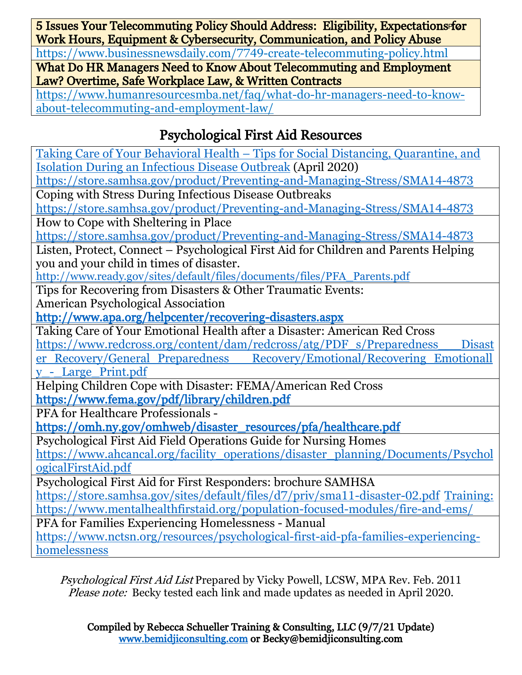5 Issues Your Telecommuting Policy Should Address: Eligibility, Expectations for Work Hours, Equipment & Cybersecurity, Communication, and Policy Abuse

<https://www.businessnewsdaily.com/7749-create-telecommuting-policy.html>

What Do HR Managers Need to Know About Telecommuting and Employment Law? Overtime, Safe Workplace Law, & Written Contracts

[https://www.humanresourcesmba.net/faq/what-do-hr-managers-need-to-know](https://www.humanresourcesmba.net/faq/what-do-hr-managers-need-to-know-about-telecommuting-and-employment-law/)[about-telecommuting-and-employment-law/](https://www.humanresourcesmba.net/faq/what-do-hr-managers-need-to-know-about-telecommuting-and-employment-law/)

# Psychological First Aid Resources

Taking Care of Your Behavioral Health – [Tips for Social Distancing, Quarantine, and](https://store.samhsa.gov/product/Taking-Care-of-Your-Behavioral-Health-Tips-for-Social-Distancing-Quarantine-and-Isolation-During-an-Infectious-Disease-Outbreak/PEP20-01-01-007?referer=from_search_result)  [Isolation During an Infectious Disease Outbreak](https://store.samhsa.gov/product/Taking-Care-of-Your-Behavioral-Health-Tips-for-Social-Distancing-Quarantine-and-Isolation-During-an-Infectious-Disease-Outbreak/PEP20-01-01-007?referer=from_search_result) (April 2020) <https://store.samhsa.gov/product/Preventing-and-Managing-Stress/SMA14-4873> Coping with Stress During Infectious Disease Outbreaks <https://store.samhsa.gov/product/Preventing-and-Managing-Stress/SMA14-4873> How to Cope with Sheltering in Place <https://store.samhsa.gov/product/Preventing-and-Managing-Stress/SMA14-4873> Listen, Protect, Connect – Psychological First Aid for Children and Parents Helping you and your child in times of disaster. <http://www.ready.gov/sites/>[default/files/documents/files/PFA\\_Parents.pdf](http://www.ready.gov/sites/default/files/documents/files/PFA_Parents.pdf) Tips for Recovering from Disasters & Other Traumatic Events: American Psychological Association <http://www.apa.org/helpcenter/recovering-disasters.aspx> Taking Care of Your Emotional Health after a Disaster: American Red Cross [https://www.redcross.org/content/dam/redcross/atg/PDF\\_s/Preparedness\\_\\_\\_Disast](https://www.redcross.org/content/dam/redcross/atg/PDF_s/Preparedness___Disaster_Recovery/General_Preparedness___Recovery/Emotional/Recovering_Emotionally_-_Large_Print.pdf) er\_Recovery/General\_Preparedness\_\_\_\_Recovery/Emotional/Recovering\_Emotionall [y\\_-\\_Large\\_Print.pdf](https://www.redcross.org/content/dam/redcross/atg/PDF_s/Preparedness___Disaster_Recovery/General_Preparedness___Recovery/Emotional/Recovering_Emotionally_-_Large_Print.pdf) Helping Children Cope with Disaster: FEMA/American Red Cross <https://www.fema.gov/pdf/library/children.pdf> PFA for Healthcare Professionals [https://omh.ny.gov/omhweb/disaster\\_resources/pfa/healthcare.pdf](https://omh.ny.gov/omhweb/disaster_resources/pfa/healthcare.pdf)  Psychological First Aid Field Operations Guide for Nursing Homes [https://www.ahcancal.org/facility\\_operations/disaster\\_planning/Documents/Psychol](https://www.ahcancal.org/facility_operations/disaster_planning/Documents/PsychologicalFirstAid.pdf) [ogicalFirstAid.pdf](https://www.ahcancal.org/facility_operations/disaster_planning/Documents/PsychologicalFirstAid.pdf) Psychological First Aid for First Responders: brochure SAMHSA <https://store.samhsa.gov/sites/default/files/d7/priv/sma11-disaster-02.pdf>Training: <https://www.mentalhealthfirstaid.org/population-focused-modules/fire-and-ems/> PFA for Families Experiencing Homelessness - Manual [https://www.nctsn.org/resources/psychological-first-aid-pfa-families-experiencing](https://www.nctsn.org/resources/psychological-first-aid-pfa-families-experiencing-homelessness)[homelessness](https://www.nctsn.org/resources/psychological-first-aid-pfa-families-experiencing-homelessness)

Psychological First Aid List Prepared by Vicky Powell, LCSW, MPA Rev. Feb. 2011 Please note: Becky tested each link and made updates as needed in April 2020.

Compiled by Rebecca Schueller Training & Consulting, LLC (9/7/21 Update) [www.bemidjiconsulting.com](http://www.bemidjiconsulting.com/) or Becky@bemidjiconsulting.com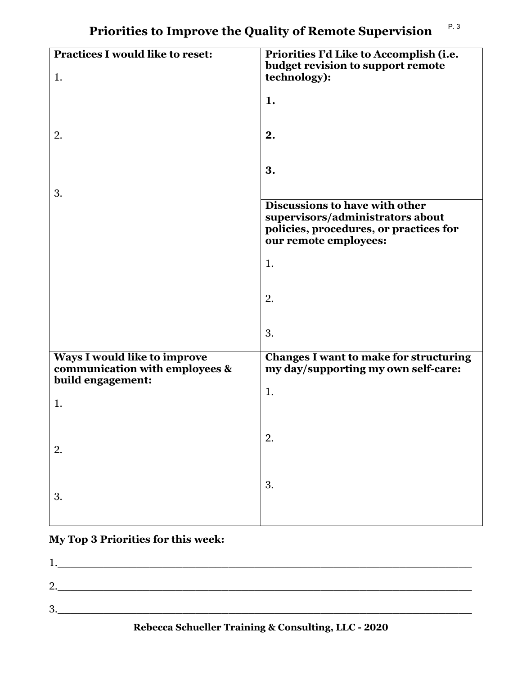| <b>Practices I would like to reset:</b>                        | Priorities I'd Like to Accomplish (i.e.<br>budget revision to support remote         |
|----------------------------------------------------------------|--------------------------------------------------------------------------------------|
| 1.                                                             | technology):                                                                         |
|                                                                | 1.                                                                                   |
| 2.                                                             | 2.                                                                                   |
|                                                                |                                                                                      |
|                                                                | 3.                                                                                   |
| 3.                                                             |                                                                                      |
|                                                                | Discussions to have with other<br>supervisors/administrators about                   |
|                                                                | policies, procedures, or practices for<br>our remote employees:                      |
|                                                                | 1.                                                                                   |
|                                                                |                                                                                      |
|                                                                | 2.                                                                                   |
|                                                                | 3.                                                                                   |
|                                                                |                                                                                      |
| Ways I would like to improve<br>communication with employees & | <b>Changes I want to make for structuring</b><br>my day/supporting my own self-care: |
| build engagement:                                              |                                                                                      |
| 1.                                                             | 1.                                                                                   |
|                                                                |                                                                                      |
| 2.                                                             | 2.                                                                                   |
|                                                                |                                                                                      |
| 3.                                                             | 3.                                                                                   |
|                                                                |                                                                                      |
|                                                                |                                                                                      |

# **My Top 3 Priorities for this week:**

| റ<br>- |  |  |  |
|--------|--|--|--|
| റ<br>ູ |  |  |  |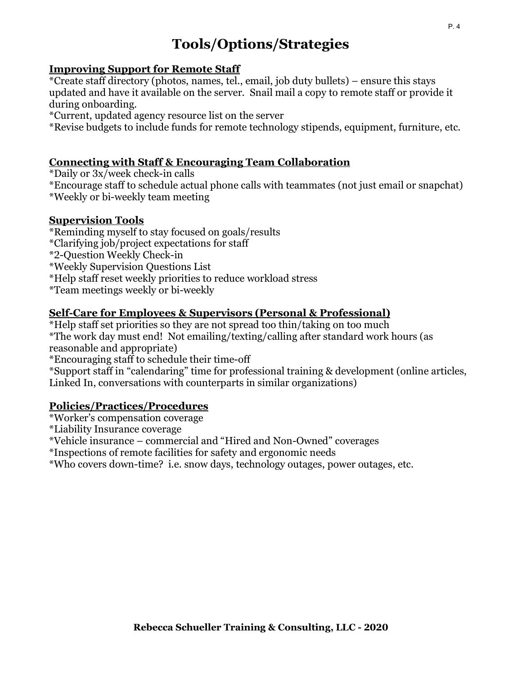# **Tools/Options/Strategies**

### **Improving Support for Remote Staff**

\*Create staff directory (photos, names, tel., email, job duty bullets) – ensure this stays updated and have it available on the server. Snail mail a copy to remote staff or provide it during onboarding.

\*Current, updated agency resource list on the server

\*Revise budgets to include funds for remote technology stipends, equipment, furniture, etc.

## **Connecting with Staff & Encouraging Team Collaboration**

\*Daily or 3x/week check-in calls

\*Encourage staff to schedule actual phone calls with teammates (not just email or snapchat)

\*Weekly or bi-weekly team meeting

### **Supervision Tools**

\*Reminding myself to stay focused on goals/results

\*Clarifying job/project expectations for staff

\*2-Question Weekly Check-in

\*Weekly Supervision Questions List

\*Help staff reset weekly priorities to reduce workload stress

\*Team meetings weekly or bi-weekly

# **Self-Care for Employees & Supervisors (Personal & Professional)**

\*Help staff set priorities so they are not spread too thin/taking on too much \*The work day must end! Not emailing/texting/calling after standard work hours (as reasonable and appropriate)

\*Encouraging staff to schedule their time-off

\*Support staff in "calendaring" time for professional training & development (online articles, Linked In, conversations with counterparts in similar organizations)

### **Policies/Practices/Procedures**

\*Worker's compensation coverage

\*Liability Insurance coverage

\*Vehicle insurance – commercial and "Hired and Non-Owned" coverages

\*Inspections of remote facilities for safety and ergonomic needs

\*Who covers down-time? i.e. snow days, technology outages, power outages, etc.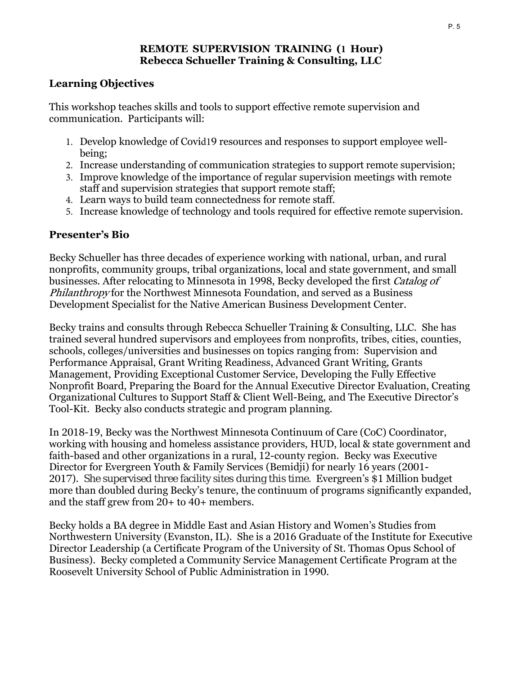#### **REMOTE SUPERVISION TRAINING (1 Hour) Rebecca Schueller Training & Consulting, LLC**

## **Learning Objectives**

This workshop teaches skills and tools to support effective remote supervision and communication. Participants will:

- 1. Develop knowledge of Covid19 resources and responses to support employee wellbeing;
- 2. Increase understanding of communication strategies to support remote supervision;
- 3. Improve knowledge of the importance of regular supervision meetings with remote staff and supervision strategies that support remote staff;
- 4. Learn ways to build team connectedness for remote staff.
- 5. Increase knowledge of technology and tools required for effective remote supervision.

# **Presenter's Bio**

Becky Schueller has three decades of experience working with national, urban, and rural nonprofits, community groups, tribal organizations, local and state government, and small businesses. After relocating to Minnesota in 1998, Becky developed the first Catalog of Philanthropy for the Northwest Minnesota Foundation, and served as a Business Development Specialist for the Native American Business Development Center.

Becky trains and consults through Rebecca Schueller Training & Consulting, LLC. She has trained several hundred supervisors and employees from nonprofits, tribes, cities, counties, schools, colleges/universities and businesses on topics ranging from: Supervision and Performance Appraisal, Grant Writing Readiness, Advanced Grant Writing, Grants Management, Providing Exceptional Customer Service, Developing the Fully Effective Nonprofit Board, Preparing the Board for the Annual Executive Director Evaluation, Creating Organizational Cultures to Support Staff & Client Well-Being, and The Executive Director's Tool-Kit. Becky also conducts strategic and program planning.

In 2018-19, Becky was the Northwest Minnesota Continuum of Care (CoC) Coordinator, working with housing and homeless assistance providers, HUD, local & state government and faith-based and other organizations in a rural, 12-county region. Becky was Executive Director for Evergreen Youth & Family Services (Bemidji) for nearly 16 years (2001- 2017). She supervised three facility sites during this time. Evergreen's \$1 Million budget more than doubled during Becky's tenure, the continuum of programs significantly expanded, and the staff grew from 20+ to 40+ members.

Becky holds a BA degree in Middle East and Asian History and Women's Studies from Northwestern University (Evanston, IL). She is a 2016 Graduate of the Institute for Executive Director Leadership (a Certificate Program of the University of St. Thomas Opus School of Business). Becky completed a Community Service Management Certificate Program at the Roosevelt University School of Public Administration in 1990.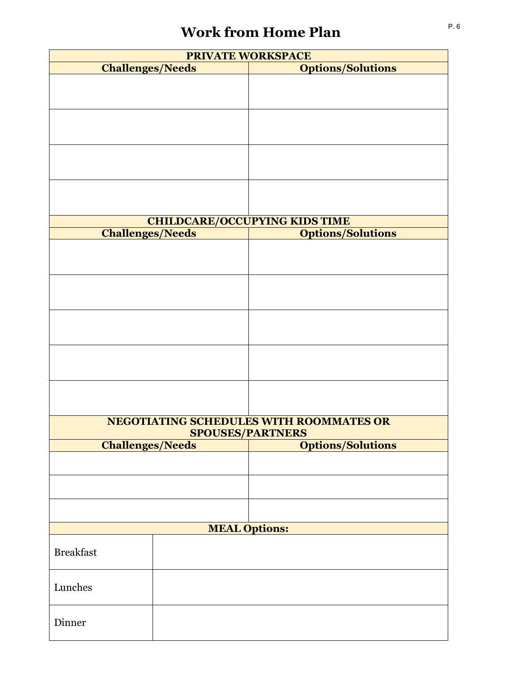# **Work from Home Plan**

| PRIVATE WORKSPACE                                                              |  |                                         |  |  |
|--------------------------------------------------------------------------------|--|-----------------------------------------|--|--|
| <b>Challenges/Needs</b>                                                        |  | <b>Options/Solutions</b>                |  |  |
|                                                                                |  |                                         |  |  |
|                                                                                |  |                                         |  |  |
|                                                                                |  |                                         |  |  |
|                                                                                |  |                                         |  |  |
|                                                                                |  |                                         |  |  |
|                                                                                |  |                                         |  |  |
|                                                                                |  |                                         |  |  |
|                                                                                |  |                                         |  |  |
|                                                                                |  |                                         |  |  |
|                                                                                |  |                                         |  |  |
|                                                                                |  |                                         |  |  |
|                                                                                |  | <b>CHILDCARE/OCCUPYING KIDS TIME</b>    |  |  |
| <b>Challenges/Needs</b>                                                        |  | <b>Options/Solutions</b>                |  |  |
|                                                                                |  |                                         |  |  |
|                                                                                |  |                                         |  |  |
|                                                                                |  |                                         |  |  |
|                                                                                |  |                                         |  |  |
|                                                                                |  |                                         |  |  |
|                                                                                |  |                                         |  |  |
|                                                                                |  |                                         |  |  |
|                                                                                |  |                                         |  |  |
|                                                                                |  |                                         |  |  |
|                                                                                |  |                                         |  |  |
|                                                                                |  |                                         |  |  |
|                                                                                |  |                                         |  |  |
|                                                                                |  |                                         |  |  |
|                                                                                |  |                                         |  |  |
|                                                                                |  | NEGOTIATING SCHEDULES WITH ROOMMATES OR |  |  |
| <b>SPOUSES/PARTNERS</b><br><b>Options/Solutions</b><br><b>Challenges/Needs</b> |  |                                         |  |  |
|                                                                                |  |                                         |  |  |
|                                                                                |  |                                         |  |  |
|                                                                                |  |                                         |  |  |
|                                                                                |  |                                         |  |  |
|                                                                                |  |                                         |  |  |
|                                                                                |  |                                         |  |  |
| <b>MEAL Options:</b>                                                           |  |                                         |  |  |
|                                                                                |  |                                         |  |  |
| <b>Breakfast</b>                                                               |  |                                         |  |  |
|                                                                                |  |                                         |  |  |
| Lunches                                                                        |  |                                         |  |  |
|                                                                                |  |                                         |  |  |
|                                                                                |  |                                         |  |  |
| Dinner                                                                         |  |                                         |  |  |
|                                                                                |  |                                         |  |  |